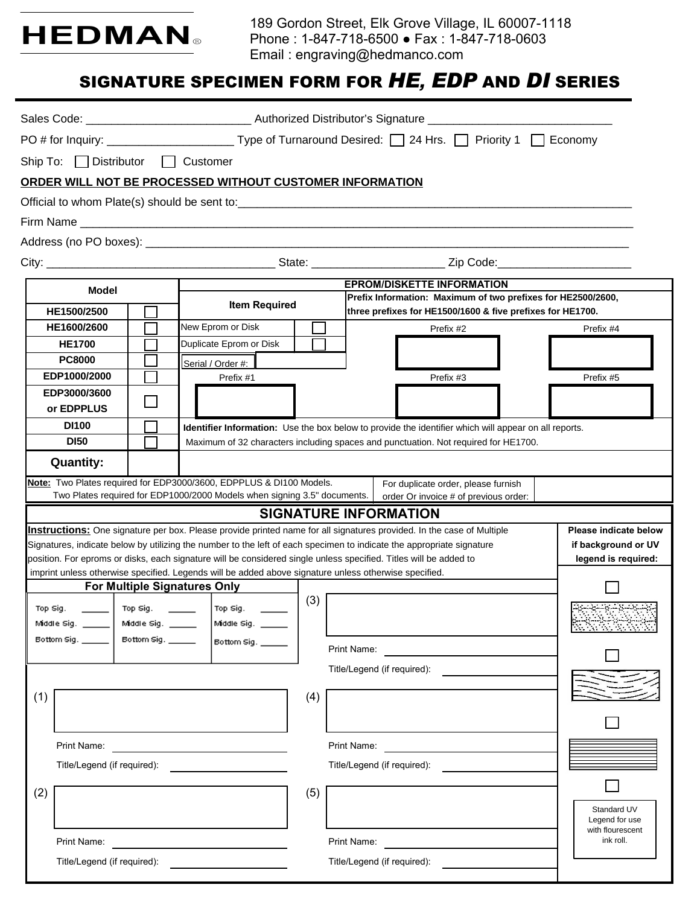

189 Gordon Street, Elk Grove Village, IL 60007-1118 Phone : 1-847-718-6500 ● Fax : 1-847-718-0603 Email : engraving@hedmanco.com

# SIGNATURE SPECIMEN FORM FOR *HE, EDP* AND *DI* SERIES

|                                                                                                                   | Ship To: □ Distributor □ Customer                                                                               |                                                    |                                   |                                                                          |     |                                                                                                                            |                                                                                                                                                                                                                                                                                                                                                                     |                                                                     |  |  |
|-------------------------------------------------------------------------------------------------------------------|-----------------------------------------------------------------------------------------------------------------|----------------------------------------------------|-----------------------------------|--------------------------------------------------------------------------|-----|----------------------------------------------------------------------------------------------------------------------------|---------------------------------------------------------------------------------------------------------------------------------------------------------------------------------------------------------------------------------------------------------------------------------------------------------------------------------------------------------------------|---------------------------------------------------------------------|--|--|
|                                                                                                                   |                                                                                                                 |                                                    |                                   |                                                                          |     |                                                                                                                            | ORDER WILL NOT BE PROCESSED WITHOUT CUSTOMER INFORMATION                                                                                                                                                                                                                                                                                                            |                                                                     |  |  |
|                                                                                                                   |                                                                                                                 |                                                    |                                   |                                                                          |     |                                                                                                                            |                                                                                                                                                                                                                                                                                                                                                                     |                                                                     |  |  |
|                                                                                                                   |                                                                                                                 |                                                    |                                   |                                                                          |     |                                                                                                                            |                                                                                                                                                                                                                                                                                                                                                                     |                                                                     |  |  |
|                                                                                                                   |                                                                                                                 |                                                    |                                   |                                                                          |     |                                                                                                                            |                                                                                                                                                                                                                                                                                                                                                                     |                                                                     |  |  |
|                                                                                                                   |                                                                                                                 |                                                    |                                   |                                                                          |     |                                                                                                                            |                                                                                                                                                                                                                                                                                                                                                                     |                                                                     |  |  |
| Model                                                                                                             |                                                                                                                 |                                                    | <b>EPROM/DISKETTE INFORMATION</b> |                                                                          |     |                                                                                                                            |                                                                                                                                                                                                                                                                                                                                                                     |                                                                     |  |  |
| HE1500/2500                                                                                                       |                                                                                                                 | <b>Item Required</b>                               |                                   |                                                                          |     | Prefix Information: Maximum of two prefixes for HE2500/2600,<br>three prefixes for HE1500/1600 & five prefixes for HE1700. |                                                                                                                                                                                                                                                                                                                                                                     |                                                                     |  |  |
|                                                                                                                   | HE1600/2600                                                                                                     |                                                    |                                   | New Eprom or Disk                                                        |     |                                                                                                                            | Prefix #2                                                                                                                                                                                                                                                                                                                                                           | Prefix #4                                                           |  |  |
|                                                                                                                   | <b>HE1700</b>                                                                                                   |                                                    |                                   | Duplicate Eprom or Disk                                                  |     |                                                                                                                            |                                                                                                                                                                                                                                                                                                                                                                     |                                                                     |  |  |
|                                                                                                                   | <b>PC8000</b>                                                                                                   |                                                    |                                   | Serial / Order #:                                                        |     |                                                                                                                            |                                                                                                                                                                                                                                                                                                                                                                     |                                                                     |  |  |
|                                                                                                                   | EDP1000/2000<br>EDP3000/3600                                                                                    |                                                    |                                   | Prefix #1                                                                |     |                                                                                                                            | Prefix #3                                                                                                                                                                                                                                                                                                                                                           | Prefix #5                                                           |  |  |
|                                                                                                                   | or EDPPLUS                                                                                                      |                                                    |                                   |                                                                          |     |                                                                                                                            |                                                                                                                                                                                                                                                                                                                                                                     |                                                                     |  |  |
|                                                                                                                   | <b>DI100</b>                                                                                                    |                                                    |                                   |                                                                          |     |                                                                                                                            | Identifier Information: Use the box below to provide the identifier which will appear on all reports.                                                                                                                                                                                                                                                               |                                                                     |  |  |
|                                                                                                                   | <b>DI50</b>                                                                                                     |                                                    |                                   |                                                                          |     |                                                                                                                            | Maximum of 32 characters including spaces and punctuation. Not required for HE1700.                                                                                                                                                                                                                                                                                 |                                                                     |  |  |
|                                                                                                                   | <b>Quantity:</b>                                                                                                |                                                    |                                   |                                                                          |     |                                                                                                                            |                                                                                                                                                                                                                                                                                                                                                                     |                                                                     |  |  |
|                                                                                                                   |                                                                                                                 |                                                    |                                   | Note: Two Plates required for EDP3000/3600, EDPPLUS & DI100 Models.      |     |                                                                                                                            | For duplicate order, please furnish                                                                                                                                                                                                                                                                                                                                 |                                                                     |  |  |
|                                                                                                                   |                                                                                                                 |                                                    |                                   | Two Plates required for EDP1000/2000 Models when signing 3.5" documents. |     |                                                                                                                            | order Or invoice # of previous order:<br><b>SIGNATURE INFORMATION</b>                                                                                                                                                                                                                                                                                               |                                                                     |  |  |
|                                                                                                                   |                                                                                                                 |                                                    |                                   |                                                                          |     |                                                                                                                            | Instructions: One signature per box. Please provide printed name for all signatures provided. In the case of Multiple<br>Signatures, indicate below by utilizing the number to the left of each specimen to indicate the appropriate signature<br>position. For eproms or disks, each signature will be considered single unless specified. Titles will be added to | Please indicate below<br>if background or UV<br>legend is required: |  |  |
|                                                                                                                   |                                                                                                                 | <b>For Multiple Signatures Only</b>                |                                   |                                                                          |     |                                                                                                                            | imprint unless otherwise specified. Legends will be added above signature unless otherwise specified.                                                                                                                                                                                                                                                               |                                                                     |  |  |
| Top Sig.                                                                                                          | Middle Sig. _____                                                                                               | Top Sig.<br>Middle Sig. _____<br>Bottom Sig. _____ |                                   | Top Sig.<br>Middle Sig. _____                                            | (3) |                                                                                                                            |                                                                                                                                                                                                                                                                                                                                                                     |                                                                     |  |  |
| Bottom Sig. $\qquad$                                                                                              |                                                                                                                 |                                                    | Bottom Sig. ___                   |                                                                          |     | Print Name:                                                                                                                |                                                                                                                                                                                                                                                                                                                                                                     |                                                                     |  |  |
| (1)                                                                                                               |                                                                                                                 |                                                    |                                   |                                                                          | (4) |                                                                                                                            | Title/Legend (if required):                                                                                                                                                                                                                                                                                                                                         |                                                                     |  |  |
|                                                                                                                   |                                                                                                                 |                                                    |                                   |                                                                          |     |                                                                                                                            |                                                                                                                                                                                                                                                                                                                                                                     |                                                                     |  |  |
|                                                                                                                   | Print Name: The Contract of The Contract of The Contract of The Contract of The Contract of The Contract of The |                                                    |                                   |                                                                          |     |                                                                                                                            | Print Name:                                                                                                                                                                                                                                                                                                                                                         |                                                                     |  |  |
|                                                                                                                   | Title/Legend (if required):                                                                                     |                                                    |                                   |                                                                          |     |                                                                                                                            | Title/Legend (if required):                                                                                                                                                                                                                                                                                                                                         |                                                                     |  |  |
| (2)                                                                                                               |                                                                                                                 |                                                    |                                   |                                                                          | (5) |                                                                                                                            |                                                                                                                                                                                                                                                                                                                                                                     | Standard UV<br>Legend for use                                       |  |  |
| Print Name: The Communication of the Communication of the Communication of the Communication of the Communication |                                                                                                                 |                                                    |                                   |                                                                          |     |                                                                                                                            | Print Name:                                                                                                                                                                                                                                                                                                                                                         | with flourescent<br>ink roll.                                       |  |  |
| Title/Legend (if required):                                                                                       |                                                                                                                 |                                                    |                                   |                                                                          |     |                                                                                                                            | Title/Legend (if required):                                                                                                                                                                                                                                                                                                                                         |                                                                     |  |  |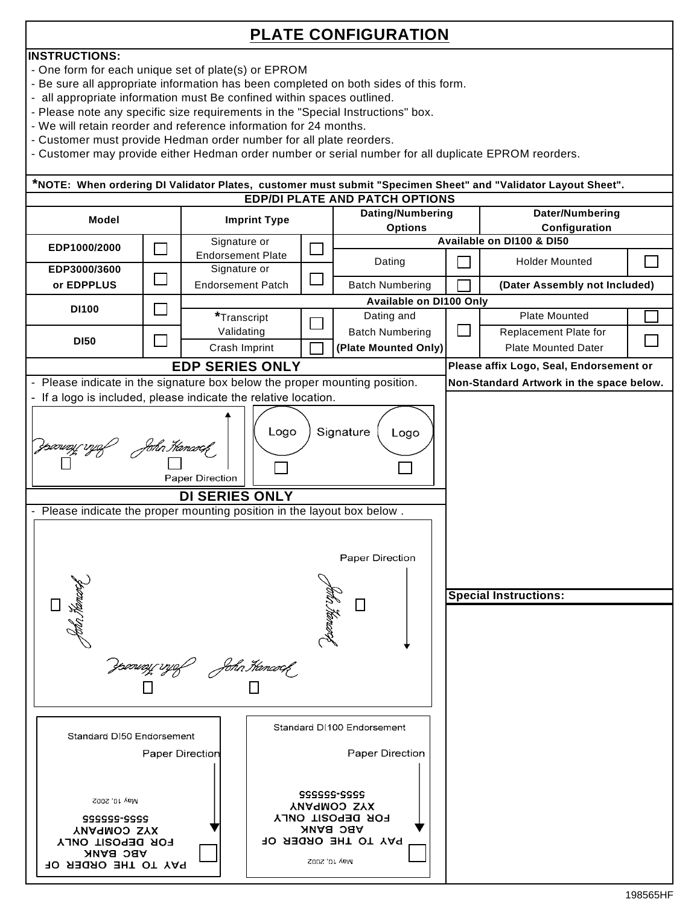## **PLATE CONFIGURATION**

#### **INSTRUCTIONS:**

- One form for each unique set of plate(s) or EPROM
- Be sure all appropriate information has been completed on both sides of this form.
- all appropriate information must Be confined within spaces outlined.
- Please note any specific size requirements in the "Special Instructions" box.
- We will retain reorder and reference information for 24 months.
- Customer must provide Hedman order number for all plate reorders.
- Customer may provide either Hedman order number or serial number for all duplicate EPROM reorders.

| *NOTE: When ordering DI Validator Plates, customer must submit "Specimen Sheet" and "Validator Layout Sheet". |        |                                          |                          |                                                           |                                          |                              |                                         |  |  |  |  |  |  |
|---------------------------------------------------------------------------------------------------------------|--------|------------------------------------------|--------------------------|-----------------------------------------------------------|------------------------------------------|------------------------------|-----------------------------------------|--|--|--|--|--|--|
|                                                                                                               |        |                                          |                          |                                                           | <b>EDP/DI PLATE AND PATCH OPTIONS</b>    |                              |                                         |  |  |  |  |  |  |
| Model                                                                                                         |        | <b>Imprint Type</b>                      |                          |                                                           | Dating/Numbering                         |                              | Dater/Numbering                         |  |  |  |  |  |  |
|                                                                                                               |        |                                          | <b>Options</b>           |                                                           | Configuration                            |                              |                                         |  |  |  |  |  |  |
| EDP1000/2000                                                                                                  | $\sim$ | Signature or<br><b>Endorsement Plate</b> |                          | $\mathcal{L}$                                             |                                          |                              | Available on DI100 & DI50               |  |  |  |  |  |  |
| EDP3000/3600                                                                                                  | $\Box$ | Signature or                             |                          |                                                           | Dating                                   |                              | <b>Holder Mounted</b>                   |  |  |  |  |  |  |
| or EDPPLUS                                                                                                    |        |                                          | <b>Endorsement Patch</b> |                                                           | <b>Batch Numbering</b>                   |                              | (Dater Assembly not Included)           |  |  |  |  |  |  |
|                                                                                                               |        |                                          |                          |                                                           | Available on DI100 Only                  |                              |                                         |  |  |  |  |  |  |
| <b>DI100</b>                                                                                                  | $\Box$ | *Transcript                              |                          |                                                           | Dating and                               |                              | <b>Plate Mounted</b>                    |  |  |  |  |  |  |
|                                                                                                               | $\Box$ | Validating                               |                          |                                                           | <b>Batch Numbering</b>                   | $\Box$                       | Replacement Plate for                   |  |  |  |  |  |  |
| <b>DI50</b>                                                                                                   |        |                                          | Crash Imprint            |                                                           | (Plate Mounted Only)                     |                              | <b>Plate Mounted Dater</b>              |  |  |  |  |  |  |
|                                                                                                               |        | <b>EDP SERIES ONLY</b>                   |                          |                                                           |                                          |                              | Please affix Logo, Seal, Endorsement or |  |  |  |  |  |  |
| - Please indicate in the signature box below the proper mounting position.                                    |        |                                          |                          |                                                           | Non-Standard Artwork in the space below. |                              |                                         |  |  |  |  |  |  |
| - If a logo is included, please indicate the relative location.                                               |        |                                          |                          |                                                           |                                          |                              |                                         |  |  |  |  |  |  |
|                                                                                                               |        |                                          |                          |                                                           |                                          |                              |                                         |  |  |  |  |  |  |
| Signature<br>Logo<br>Logo                                                                                     |        |                                          |                          |                                                           |                                          |                              |                                         |  |  |  |  |  |  |
| derway yyef fohn themach<br>S                                                                                 |        |                                          |                          |                                                           |                                          |                              |                                         |  |  |  |  |  |  |
|                                                                                                               |        |                                          |                          |                                                           |                                          |                              |                                         |  |  |  |  |  |  |
|                                                                                                               |        | Paper Direction                          |                          |                                                           |                                          |                              |                                         |  |  |  |  |  |  |
|                                                                                                               |        | <b>DI SERIES ONLY</b>                    |                          |                                                           |                                          |                              |                                         |  |  |  |  |  |  |
| - Please indicate the proper mounting position in the layout box below.                                       |        |                                          |                          |                                                           |                                          |                              |                                         |  |  |  |  |  |  |
|                                                                                                               |        |                                          |                          |                                                           |                                          |                              |                                         |  |  |  |  |  |  |
|                                                                                                               |        |                                          |                          |                                                           |                                          |                              |                                         |  |  |  |  |  |  |
|                                                                                                               |        |                                          | Paper Direction          |                                                           |                                          |                              |                                         |  |  |  |  |  |  |
|                                                                                                               |        |                                          |                          |                                                           |                                          |                              |                                         |  |  |  |  |  |  |
|                                                                                                               |        |                                          |                          |                                                           |                                          | <b>Special Instructions:</b> |                                         |  |  |  |  |  |  |
|                                                                                                               |        |                                          |                          |                                                           |                                          |                              |                                         |  |  |  |  |  |  |
|                                                                                                               |        | bha Kemerç,                              |                          |                                                           |                                          |                              |                                         |  |  |  |  |  |  |
|                                                                                                               |        |                                          |                          |                                                           |                                          |                              |                                         |  |  |  |  |  |  |
|                                                                                                               |        |                                          |                          |                                                           |                                          |                              |                                         |  |  |  |  |  |  |
|                                                                                                               |        | Voorvag vyef John tlancock               |                          |                                                           |                                          |                              |                                         |  |  |  |  |  |  |
|                                                                                                               |        |                                          |                          |                                                           |                                          |                              |                                         |  |  |  |  |  |  |
|                                                                                                               |        |                                          |                          |                                                           |                                          |                              |                                         |  |  |  |  |  |  |
|                                                                                                               |        | Paper Direction                          |                          |                                                           | Standard DI100 Endorsement               |                              |                                         |  |  |  |  |  |  |
| Standard DI50 Endorsement                                                                                     |        |                                          |                          |                                                           |                                          |                              |                                         |  |  |  |  |  |  |
|                                                                                                               |        |                                          |                          |                                                           | Paper Direction                          |                              |                                         |  |  |  |  |  |  |
|                                                                                                               |        |                                          |                          |                                                           |                                          |                              |                                         |  |  |  |  |  |  |
|                                                                                                               |        |                                          |                          |                                                           | 2222-222222                              |                              |                                         |  |  |  |  |  |  |
| May 10, 2002                                                                                                  |        |                                          |                          | XYZ COMPANY<br><b>FOR DEPOSIT ONLY</b><br><b>ABC BANK</b> |                                          |                              |                                         |  |  |  |  |  |  |
| 2222-222222<br><b>YVZ COMPANY</b>                                                                             |        |                                          |                          |                                                           |                                          |                              |                                         |  |  |  |  |  |  |
| FOR DEPOSIT ONLY                                                                                              |        |                                          |                          | <b>JO SEGRO EHT OT YAG</b>                                |                                          |                              |                                         |  |  |  |  |  |  |
| ABC BANK<br><b>RO REGRO EHT OT YAR</b>                                                                        |        |                                          | ZOOZ 'OL ABW             |                                                           |                                          |                              |                                         |  |  |  |  |  |  |
|                                                                                                               |        |                                          |                          |                                                           |                                          |                              |                                         |  |  |  |  |  |  |
|                                                                                                               |        |                                          |                          |                                                           |                                          |                              |                                         |  |  |  |  |  |  |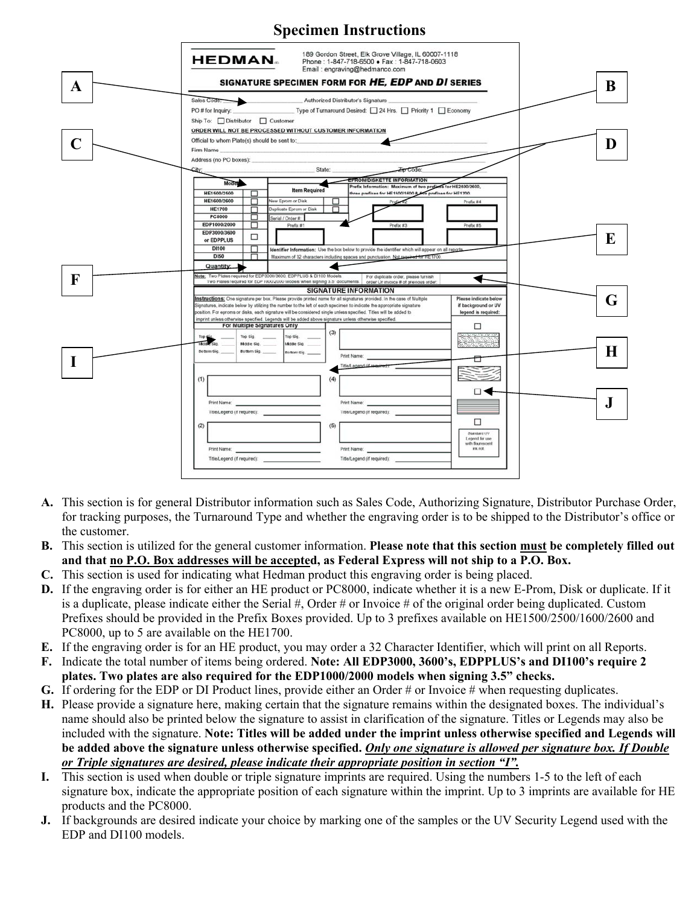

- **A.** This section is for general Distributor information such as Sales Code, Authorizing Signature, Distributor Purchase Order, for tracking purposes, the Turnaround Type and whether the engraving order is to be shipped to the Distributor's office or the customer.
- **B.** This section is utilized for the general customer information. **Please note that this section must be completely filled out and that no P.O. Box addresses will be accepted, as Federal Express will not ship to a P.O. Box.**
- **C.** This section is used for indicating what Hedman product this engraving order is being placed.
- **D.** If the engraving order is for either an HE product or PC8000, indicate whether it is a new E-Prom, Disk or duplicate. If it is a duplicate, please indicate either the Serial  $\#$ , Order  $\#$  or Invoice  $\#$  of the original order being duplicated. Custom Prefixes should be provided in the Prefix Boxes provided. Up to 3 prefixes available on HE1500/2500/1600/2600 and PC8000, up to 5 are available on the HE1700.
- **E.** If the engraving order is for an HE product, you may order a 32 Character Identifier, which will print on all Reports.
- **F.** Indicate the total number of items being ordered. **Note: All EDP3000, 3600's, EDPPLUS's and DI100's require 2 plates. Two plates are also required for the EDP1000/2000 models when signing 3.5" checks.**
- **G.** If ordering for the EDP or DI Product lines, provide either an Order # or Invoice # when requesting duplicates.
- **H.** Please provide a signature here, making certain that the signature remains within the designated boxes. The individual's name should also be printed below the signature to assist in clarification of the signature. Titles or Legends may also be included with the signature. **Note: Titles will be added under the imprint unless otherwise specified and Legends will be added above the signature unless otherwise specified.** *Only one signature is allowed per signature box. If Double or Triple signatures are desired, please indicate their appropriate position in section "I".*
- **I.** This section is used when double or triple signature imprints are required. Using the numbers 1-5 to the left of each signature box, indicate the appropriate position of each signature within the imprint. Up to 3 imprints are available for HE products and the PC8000.
- **J.** If backgrounds are desired indicate your choice by marking one of the samples or the UV Security Legend used with the EDP and DI100 models.